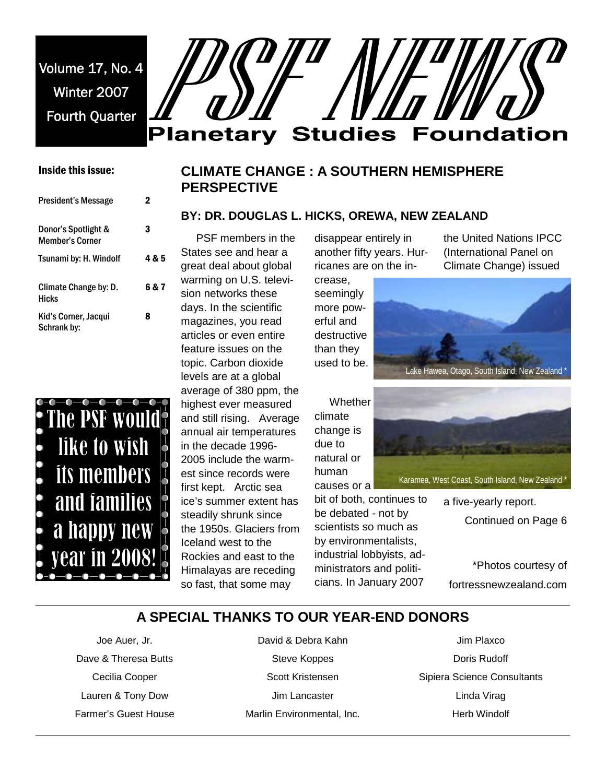Volume 17, No. 4 Winter 2007 Fourth Quarter



## Inside this issue:

| President's Message                           | 2     |
|-----------------------------------------------|-------|
| Donor's Spotlight &<br><b>Member's Corner</b> | 3     |
| Tsunami by: H. Windolf                        | 4 & 5 |
| Climate Change by: D.<br><b>Hicks</b>         | 6 & 7 |
| Kid's Corner, Jacqui<br>Schrank by:           | 8     |



# **CLIMATE CHANGE : A SOUTHERN HEMISPHERE PERSPECTIVE**

#### **BY: DR. DOUGLAS L. HICKS, OREWA, NEW ZEALAND**

 PSF members in the States see and hear a great deal about global warming on U.S. television networks these days. In the scientific magazines, you read articles or even entire feature issues on the topic. Carbon dioxide levels are at a global average of 380 ppm, the highest ever measured and still rising. Average annual air temperatures in the decade 1996- 2005 include the warmest since records were first kept. Arctic sea ice's summer extent has steadily shrunk since the 1950s. Glaciers from

Iceland west to the Rockies and east to the Himalayas are receding so fast, that some may

disappear entirely in another fifty years. Hurricanes are on the in-

crease, seemingly more powerful and destructive than they used to be.

**Whether** climate change is due to natural or human

causes or a bit of both, continues to be debated - not by scientists so much as by environmentalists, industrial lobbyists, administrators and politicians. In January 2007

the United Nations IPCC (International Panel on Climate Change) issued





Karamea, West Coast, South Island, New Zealand \*

a five-yearly report. Continued on Page 6

\*Photos courtesy of fortressnewzealand.com

# **A SPECIAL THANKS TO OUR YEAR-END DONORS**

Joe Auer, Jr. Dave & Theresa Butts Cecilia Cooper Lauren & Tony Dow Farmer's Guest House

David & Debra Kahn Steve Koppes Scott Kristensen Jim Lancaster Marlin Environmental, Inc.

Jim Plaxco Doris Rudoff Sipiera Science Consultants Linda Virag Herb Windolf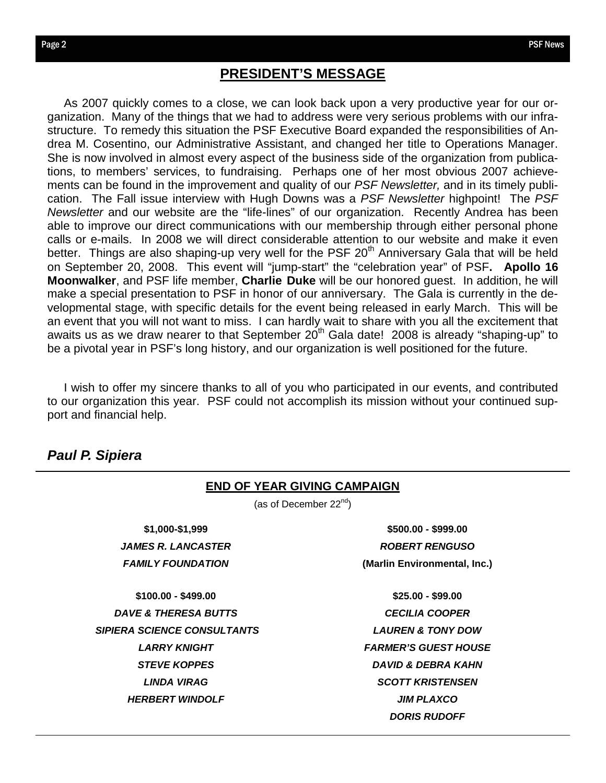lnc.)

## **PRESIDENT'S MESSAGE**

 As 2007 quickly comes to a close, we can look back upon a very productive year for our organization. Many of the things that we had to address were very serious problems with our infrastructure. To remedy this situation the PSF Executive Board expanded the responsibilities of Andrea M. Cosentino, our Administrative Assistant, and changed her title to Operations Manager. She is now involved in almost every aspect of the business side of the organization from publications, to members' services, to fundraising. Perhaps one of her most obvious 2007 achievements can be found in the improvement and quality of our *PSF Newsletter,* and in its timely publication. The Fall issue interview with Hugh Downs was a *PSF Newsletter* highpoint! The *PSF Newsletter* and our website are the "life-lines" of our organization. Recently Andrea has been able to improve our direct communications with our membership through either personal phone calls or e-mails. In 2008 we will direct considerable attention to our website and make it even better. Things are also shaping-up very well for the PSF  $20<sup>th</sup>$  Anniversary Gala that will be held on September 20, 2008. This event will "jump-start" the "celebration year" of PSF**. Apollo 16 Moonwalker**, and PSF life member, **Charlie Duke** will be our honored guest. In addition, he will make a special presentation to PSF in honor of our anniversary. The Gala is currently in the developmental stage, with specific details for the event being released in early March. This will be an event that you will not want to miss. I can hardly wait to share with you all the excitement that awaits us as we draw nearer to that September  $20<sup>th</sup>$  Gala date! 2008 is already "shaping-up" to be a pivotal year in PSF's long history, and our organization is well positioned for the future.

 I wish to offer my sincere thanks to all of you who participated in our events, and contributed to our organization this year. PSF could not accomplish its mission without your continued support and financial help.

# *Paul P. Sipiera*

| <b>END OF YEAR GIVING CAMPAIGN</b><br>(as of December $22^{nd}$ ) |                               |  |
|-------------------------------------------------------------------|-------------------------------|--|
|                                                                   |                               |  |
| <b>JAMES R. LANCASTER</b>                                         | <b>ROBERT RENGUSO</b>         |  |
| <b>FAMILY FOUNDATION</b>                                          | (Marlin Environmental, Inc.)  |  |
| $$100.00 - $499.00$                                               | $$25.00 - $99.00$             |  |
| <b>DAVE &amp; THERESA BUTTS</b>                                   | <b>CECILIA COOPER</b>         |  |
| <b>SIPIERA SCIENCE CONSULTANTS</b>                                | <b>LAUREN &amp; TONY DOW</b>  |  |
| <b>LARRY KNIGHT</b>                                               | <b>FARMER'S GUEST HOUSE</b>   |  |
| <b>STEVE KOPPES</b>                                               | <b>DAVID &amp; DEBRA KAHN</b> |  |
| LINDA VIRAG                                                       | <b>SCOTT KRISTENSEN</b>       |  |
| <b>HERBERT WINDOLF</b>                                            | <b>JIM PLAXCO</b>             |  |
|                                                                   | <b>DORIS RUDOFF</b>           |  |
|                                                                   |                               |  |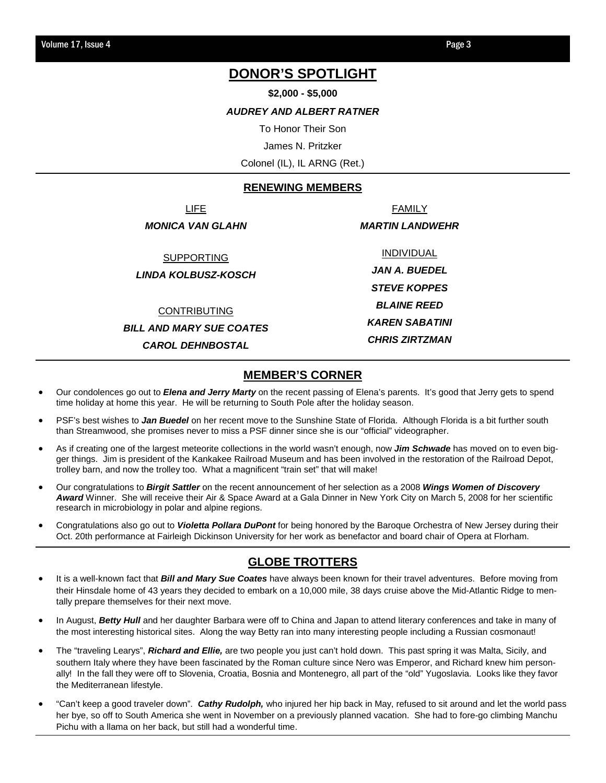# **DONOR'S SPOTLIGHT**

**\$2,000 - \$5,000** 

#### *AUDREY AND ALBERT RATNER*

To Honor Their Son

James N. Pritzker

Colonel (IL), IL ARNG (Ret.)

#### **RENEWING MEMBERS**

LIFE *MONICA VAN GLAHN* 

SUPPORTING

*LINDA KOLBUSZ-KOSCH* 

CONTRIBUTING *BILL AND MARY SUE COATES* 

*CAROL DEHNBOSTAL*

INDIVIDUAL *JAN A. BUEDEL STEVE KOPPES BLAINE REED KAREN SABATINI CHRIS ZIRTZMAN* 

FAMILY *MARTIN LANDWEHR* 

## **MEMBER'S CORNER**

- Our condolences go out to *Elena and Jerry Marty* on the recent passing of Elena's parents. It's good that Jerry gets to spend time holiday at home this year. He will be returning to South Pole after the holiday season.
- PSF's best wishes to *Jan Buedel* on her recent move to the Sunshine State of Florida. Although Florida is a bit further south than Streamwood, she promises never to miss a PSF dinner since she is our "official" videographer.
- As if creating one of the largest meteorite collections in the world wasn't enough, now *Jim Schwade* has moved on to even bigger things. Jim is president of the Kankakee Railroad Museum and has been involved in the restoration of the Railroad Depot, trolley barn, and now the trolley too. What a magnificent "train set" that will make!
- Our congratulations to *Birgit Sattler* on the recent announcement of her selection as a 2008 *Wings Women of Discovery Award* Winner. She will receive their Air & Space Award at a Gala Dinner in New York City on March 5, 2008 for her scientific research in microbiology in polar and alpine regions.
- Congratulations also go out to *Violetta Pollara DuPont* for being honored by the Baroque Orchestra of New Jersey during their Oct. 20th performance at Fairleigh Dickinson University for her work as benefactor and board chair of Opera at Florham.

## **GLOBE TROTTERS**

- It is a well-known fact that *Bill and Mary Sue Coates* have always been known for their travel adventures. Before moving from their Hinsdale home of 43 years they decided to embark on a 10,000 mile, 38 days cruise above the Mid-Atlantic Ridge to mentally prepare themselves for their next move.
- In August, *Betty Hull* and her daughter Barbara were off to China and Japan to attend literary conferences and take in many of the most interesting historical sites. Along the way Betty ran into many interesting people including a Russian cosmonaut!
- The "traveling Learys", *Richard and Ellie,* are two people you just can't hold down. This past spring it was Malta, Sicily, and southern Italy where they have been fascinated by the Roman culture since Nero was Emperor, and Richard knew him personally! In the fall they were off to Slovenia, Croatia, Bosnia and Montenegro, all part of the "old" Yugoslavia. Looks like they favor the Mediterranean lifestyle.
- "Can't keep a good traveler down". *Cathy Rudolph,* who injured her hip back in May, refused to sit around and let the world pass her bye, so off to South America she went in November on a previously planned vacation. She had to fore-go climbing Manchu Pichu with a llama on her back, but still had a wonderful time.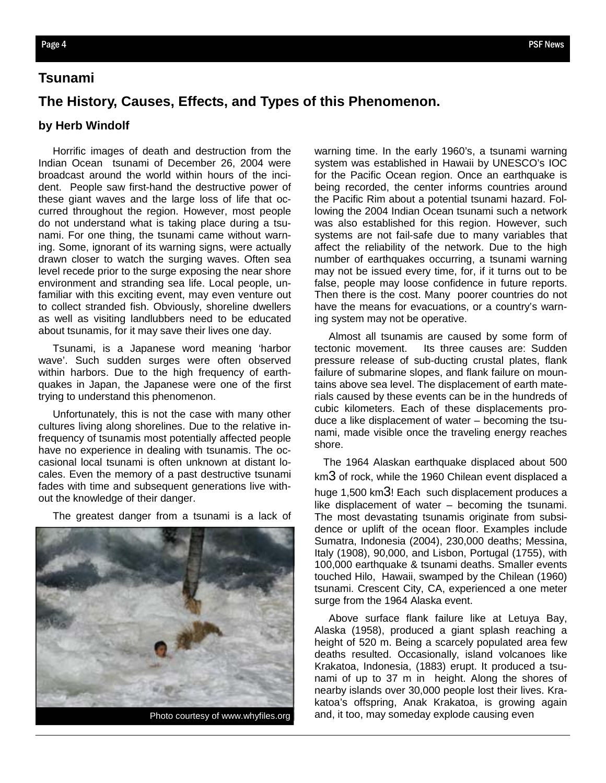# **Tsunami**

## **The History, Causes, Effects, and Types of this Phenomenon.**

#### **by Herb Windolf**

 Horrific images of death and destruction from the Indian Ocean tsunami of December 26, 2004 were broadcast around the world within hours of the incident. People saw first-hand the destructive power of these giant waves and the large loss of life that occurred throughout the region. However, most people do not understand what is taking place during a tsunami. For one thing, the tsunami came without warning. Some, ignorant of its warning signs, were actually drawn closer to watch the surging waves. Often sea level recede prior to the surge exposing the near shore environment and stranding sea life. Local people, unfamiliar with this exciting event, may even venture out to collect stranded fish. Obviously, shoreline dwellers as well as visiting landlubbers need to be educated about tsunamis, for it may save their lives one day.

 Tsunami, is a Japanese word meaning 'harbor wave'. Such sudden surges were often observed within harbors. Due to the high frequency of earthquakes in Japan, the Japanese were one of the first trying to understand this phenomenon.

 Unfortunately, this is not the case with many other cultures living along shorelines. Due to the relative infrequency of tsunamis most potentially affected people have no experience in dealing with tsunamis. The occasional local tsunami is often unknown at distant locales. Even the memory of a past destructive tsunami fades with time and subsequent generations live without the knowledge of their danger.

The greatest danger from a tsunami is a lack of



warning time. In the early 1960's, a tsunami warning system was established in Hawaii by UNESCO's IOC for the Pacific Ocean region. Once an earthquake is being recorded, the center informs countries around the Pacific Rim about a potential tsunami hazard. Following the 2004 Indian Ocean tsunami such a network was also established for this region. However, such systems are not fail-safe due to many variables that affect the reliability of the network. Due to the high number of earthquakes occurring, a tsunami warning may not be issued every time, for, if it turns out to be false, people may loose confidence in future reports. Then there is the cost. Many poorer countries do not have the means for evacuations, or a country's warning system may not be operative.

 Almost all tsunamis are caused by some form of tectonic movement. Its three causes are: Sudden pressure release of sub-ducting crustal plates, flank failure of submarine slopes, and flank failure on mountains above sea level. The displacement of earth materials caused by these events can be in the hundreds of cubic kilometers. Each of these displacements produce a like displacement of water – becoming the tsunami, made visible once the traveling energy reaches shore.

 The 1964 Alaskan earthquake displaced about 500 km3 of rock, while the 1960 Chilean event displaced a huge 1,500 km<sup>3</sup>! Each such displacement produces a like displacement of water – becoming the tsunami. The most devastating tsunamis originate from subsidence or uplift of the ocean floor. Examples include Sumatra, Indonesia (2004), 230,000 deaths; Messina, Italy (1908), 90,000, and Lisbon, Portugal (1755), with 100,000 earthquake & tsunami deaths. Smaller events touched Hilo, Hawaii, swamped by the Chilean (1960) tsunami. Crescent City, CA, experienced a one meter surge from the 1964 Alaska event.

 Above surface flank failure like at Letuya Bay, Alaska (1958), produced a giant splash reaching a height of 520 m. Being a scarcely populated area few deaths resulted. Occasionally, island volcanoes like Krakatoa, Indonesia, (1883) erupt. It produced a tsunami of up to 37 m in height. Along the shores of nearby islands over 30,000 people lost their lives. Krakatoa's offspring, Anak Krakatoa, is growing again Photo courtesy of www.whyfiles.org and, it too, may someday explode causing even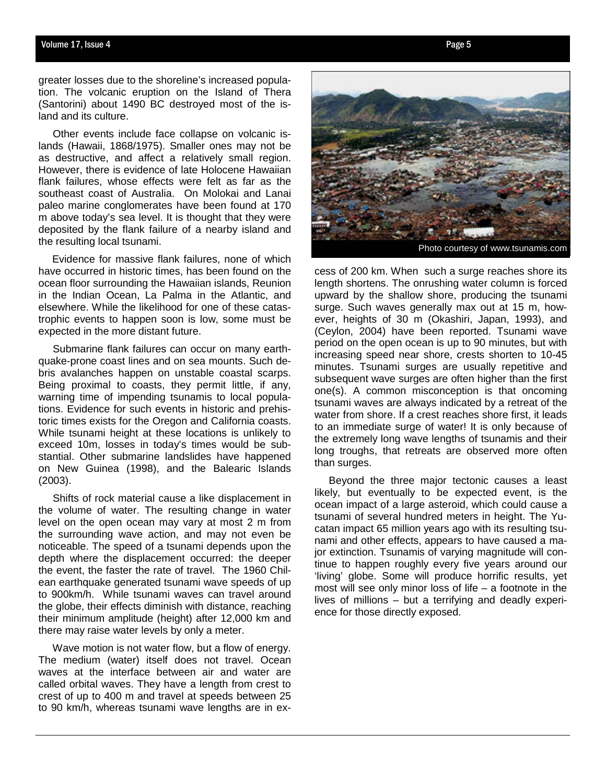greater losses due to the shoreline's increased population. The volcanic eruption on the Island of Thera (Santorini) about 1490 BC destroyed most of the island and its culture.

 Other events include face collapse on volcanic islands (Hawaii, 1868/1975). Smaller ones may not be as destructive, and affect a relatively small region. However, there is evidence of late Holocene Hawaiian flank failures, whose effects were felt as far as the southeast coast of Australia. On Molokai and Lanai paleo marine conglomerates have been found at 170 m above today's sea level. It is thought that they were deposited by the flank failure of a nearby island and the resulting local tsunami.

 Evidence for massive flank failures, none of which have occurred in historic times, has been found on the ocean floor surrounding the Hawaiian islands, Reunion in the Indian Ocean, La Palma in the Atlantic, and elsewhere. While the likelihood for one of these catastrophic events to happen soon is low, some must be expected in the more distant future.

 Submarine flank failures can occur on many earthquake-prone coast lines and on sea mounts. Such debris avalanches happen on unstable coastal scarps. Being proximal to coasts, they permit little, if any, warning time of impending tsunamis to local populations. Evidence for such events in historic and prehistoric times exists for the Oregon and California coasts. While tsunami height at these locations is unlikely to exceed 10m, losses in today's times would be substantial. Other submarine landslides have happened on New Guinea (1998), and the Balearic Islands (2003).

 Shifts of rock material cause a like displacement in the volume of water. The resulting change in water level on the open ocean may vary at most 2 m from the surrounding wave action, and may not even be noticeable. The speed of a tsunami depends upon the depth where the displacement occurred: the deeper the event, the faster the rate of travel. The 1960 Chilean earthquake generated tsunami wave speeds of up to 900km/h. While tsunami waves can travel around the globe, their effects diminish with distance, reaching their minimum amplitude (height) after 12,000 km and there may raise water levels by only a meter.

 Wave motion is not water flow, but a flow of energy. The medium (water) itself does not travel. Ocean waves at the interface between air and water are called orbital waves. They have a length from crest to crest of up to 400 m and travel at speeds between 25 to 90 km/h, whereas tsunami wave lengths are in exPhoto courtesy of www.tsunamis.com

cess of 200 km. When such a surge reaches shore its length shortens. The onrushing water column is forced upward by the shallow shore, producing the tsunami surge. Such waves generally max out at 15 m, however, heights of 30 m (Okashiri, Japan, 1993), and (Ceylon, 2004) have been reported. Tsunami wave period on the open ocean is up to 90 minutes, but with increasing speed near shore, crests shorten to 10-45 minutes. Tsunami surges are usually repetitive and subsequent wave surges are often higher than the first one(s). A common misconception is that oncoming tsunami waves are always indicated by a retreat of the water from shore. If a crest reaches shore first, it leads to an immediate surge of water! It is only because of the extremely long wave lengths of tsunamis and their long troughs, that retreats are observed more often than surges.

 Beyond the three major tectonic causes a least likely, but eventually to be expected event, is the ocean impact of a large asteroid, which could cause a tsunami of several hundred meters in height. The Yucatan impact 65 million years ago with its resulting tsunami and other effects, appears to have caused a major extinction. Tsunamis of varying magnitude will continue to happen roughly every five years around our 'living' globe. Some will produce horrific results, yet most will see only minor loss of life – a footnote in the lives of millions – but a terrifying and deadly experience for those directly exposed.

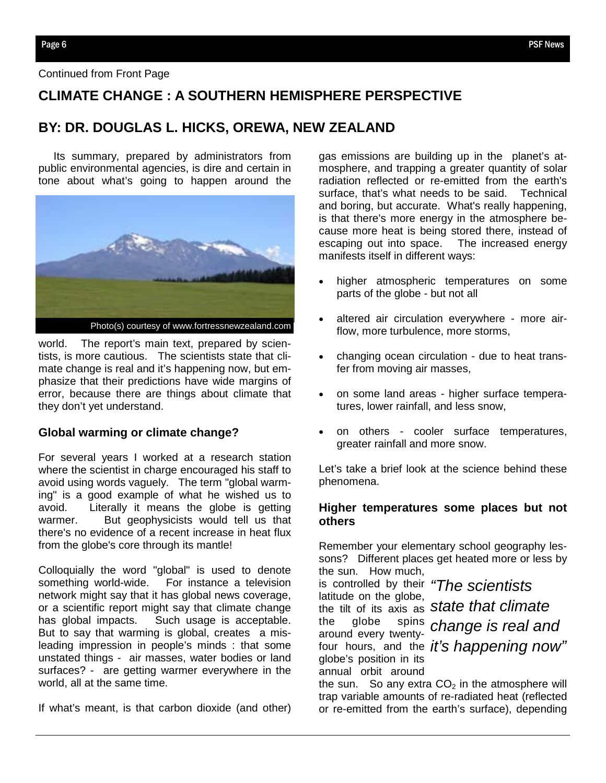# **CLIMATE CHANGE : A SOUTHERN HEMISPHERE PERSPECTIVE**

# **BY: DR. DOUGLAS L. HICKS, OREWA, NEW ZEALAND**

 Its summary, prepared by administrators from public environmental agencies, is dire and certain in tone about what's going to happen around the



world. The report's main text, prepared by scientists, is more cautious. The scientists state that climate change is real and it's happening now, but emphasize that their predictions have wide margins of error, because there are things about climate that they don't yet understand.

#### **Global warming or climate change?**

For several years I worked at a research station where the scientist in charge encouraged his staff to avoid using words vaguely. The term "global warming" is a good example of what he wished us to avoid. Literally it means the globe is getting warmer. But geophysicists would tell us that there's no evidence of a recent increase in heat flux from the globe's core through its mantle!

Colloquially the word "global" is used to denote something world-wide. For instance a television network might say that it has global news coverage, or a scientific report might say that climate change has global impacts. Such usage is acceptable. But to say that warming is global, creates a misleading impression in people's minds : that some unstated things - air masses, water bodies or land surfaces? - are getting warmer everywhere in the world, all at the same time.

If what's meant, is that carbon dioxide (and other)

gas emissions are building up in the planet's atmosphere, and trapping a greater quantity of solar radiation reflected or re-emitted from the earth's surface, that's what needs to be said. Technical and boring, but accurate. What's really happening, is that there's more energy in the atmosphere because more heat is being stored there, instead of escaping out into space. The increased energy manifests itself in different ways:

- higher atmospheric temperatures on some parts of the globe - but not all
- altered air circulation everywhere more airflow, more turbulence, more storms,
- changing ocean circulation due to heat transfer from moving air masses,
- on some land areas higher surface temperatures, lower rainfall, and less snow,
- on others cooler surface temperatures, greater rainfall and more snow.

Let's take a brief look at the science behind these phenomena.

## **Higher temperatures some places but not others**

Remember your elementary school geography lessons? Different places get heated more or less by the sun. How much,

is controlled by their *"The scientists*  latitude on the globe, around every twentyglobe's position in its annual orbit around

the tilt of its axis as *state that climate*  the globe spins *change is real and*  four hours, and the *it's happening now"* 

the sun. So any extra  $CO<sub>2</sub>$  in the atmosphere will trap variable amounts of re-radiated heat (reflected or re-emitted from the earth's surface), depending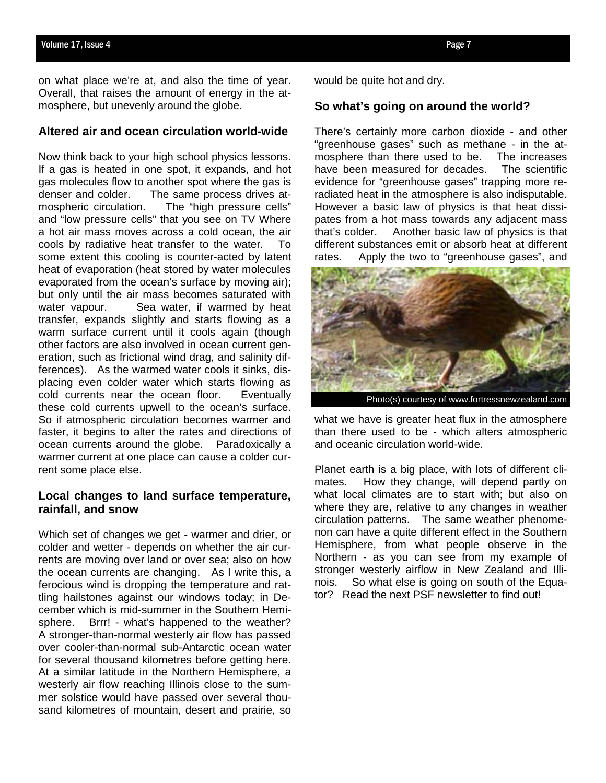on what place we're at, and also the time of year. Overall, that raises the amount of energy in the atmosphere, but unevenly around the globe.

#### **Altered air and ocean circulation world-wide**

Now think back to your high school physics lessons. If a gas is heated in one spot, it expands, and hot gas molecules flow to another spot where the gas is denser and colder. The same process drives atmospheric circulation. The "high pressure cells" and "low pressure cells" that you see on TV Where a hot air mass moves across a cold ocean, the air cools by radiative heat transfer to the water. To some extent this cooling is counter-acted by latent heat of evaporation (heat stored by water molecules evaporated from the ocean's surface by moving air); but only until the air mass becomes saturated with water vapour. Sea water, if warmed by heat transfer, expands slightly and starts flowing as a warm surface current until it cools again (though other factors are also involved in ocean current generation, such as frictional wind drag, and salinity differences). As the warmed water cools it sinks, displacing even colder water which starts flowing as cold currents near the ocean floor. Eventually these cold currents upwell to the ocean's surface. So if atmospheric circulation becomes warmer and faster, it begins to alter the rates and directions of ocean currents around the globe. Paradoxically a warmer current at one place can cause a colder current some place else.

## **Local changes to land surface temperature, rainfall, and snow**

Which set of changes we get - warmer and drier, or colder and wetter - depends on whether the air currents are moving over land or over sea; also on how the ocean currents are changing. As I write this, a ferocious wind is dropping the temperature and rattling hailstones against our windows today; in December which is mid-summer in the Southern Hemisphere. Brrr! - what's happened to the weather? A stronger-than-normal westerly air flow has passed over cooler-than-normal sub-Antarctic ocean water for several thousand kilometres before getting here. At a similar latitude in the Northern Hemisphere, a westerly air flow reaching Illinois close to the summer solstice would have passed over several thousand kilometres of mountain, desert and prairie, so

would be quite hot and dry.

#### **So what's going on around the world?**

There's certainly more carbon dioxide - and other "greenhouse gases" such as methane - in the atmosphere than there used to be. The increases have been measured for decades. The scientific evidence for "greenhouse gases" trapping more reradiated heat in the atmosphere is also indisputable. However a basic law of physics is that heat dissipates from a hot mass towards any adjacent mass that's colder. Another basic law of physics is that different substances emit or absorb heat at different rates. Apply the two to "greenhouse gases", and



what we have is greater heat flux in the atmosphere than there used to be - which alters atmospheric and oceanic circulation world-wide.

Planet earth is a big place, with lots of different climates. How they change, will depend partly on what local climates are to start with; but also on where they are, relative to any changes in weather circulation patterns. The same weather phenomenon can have a quite different effect in the Southern Hemisphere, from what people observe in the Northern - as you can see from my example of stronger westerly airflow in New Zealand and Illinois. So what else is going on south of the Equator? Read the next PSF newsletter to find out!